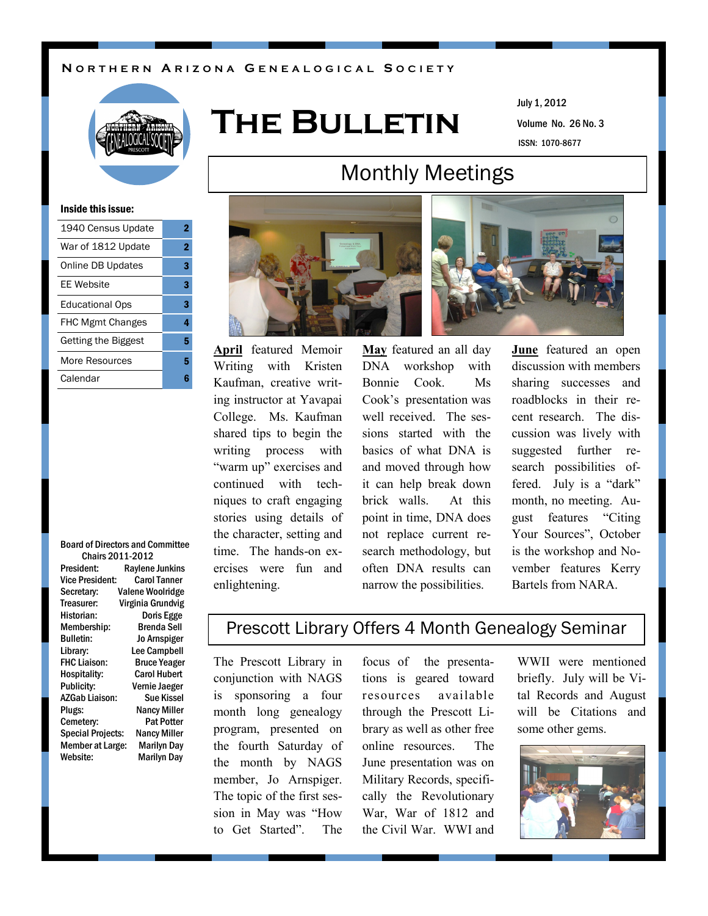## **N O R T H E R N A R I Z O N A G E N E A L O G I C A L S O C I E T Y**



# **The Bulletin**

Volume No. 26 No. 3 July 1, 2012 ISSN: 1070-8677

### Inside this issue:

| 1940 Census Update         | 2 |
|----------------------------|---|
| War of 1812 Update         | 2 |
| <b>Online DB Updates</b>   | 3 |
| FF Website                 | 3 |
| <b>Educational Ops</b>     | 3 |
| <b>FHC Mgmt Changes</b>    | 4 |
| <b>Getting the Biggest</b> | 5 |
| More Resources             | 5 |
| Calendar                   | ĥ |
|                            |   |

### Board of Directors and Committee Chairs 2011-2012

| President:               | <b>Raylene Junkins</b> |
|--------------------------|------------------------|
| Vice President:          | <b>Carol Tanner</b>    |
| Secretary:               | Valene Woolridge       |
| Treasurer:               | Virginia Grundvig      |
| Historian:               | Doris Egge             |
| Membership:              | Brenda Sell            |
| <b>Bulletin:</b>         | <b>Jo Arnspiger</b>    |
| Library:                 | <b>Lee Campbell</b>    |
| <b>FHC Liaison:</b>      | <b>Bruce Yeager</b>    |
| Hospitality:             | <b>Carol Hubert</b>    |
| Publicity:               | Vernie Jaeger          |
| AZGab Liaison:           | <b>Sue Kissel</b>      |
| Plugs:                   | <b>Nancy Miller</b>    |
| Cemetery:                | <b>Pat Potter</b>      |
| <b>Special Projects:</b> | <b>Nancy Miller</b>    |
| <b>Member at Large:</b>  | <b>Marilyn Day</b>     |
| Website:                 | Marilyn Day            |
|                          |                        |



**April** featured Memoir Writing with Kristen Kaufman, creative writing instructor at Yavapai College. Ms. Kaufman shared tips to begin the writing process with "warm up" exercises and continued with techniques to craft engaging stories using details of the character, setting and time. The hands-on exercises were fun and enlightening.

**May** featured an all day DNA workshop with Bonnie Cook. Ms Cook's presentation was well received. The sessions started with the basics of what DNA is and moved through how it can help break down brick walls. At this point in time, DNA does not replace current research methodology, but often DNA results can narrow the possibilities.

**June** featured an open discussion with members sharing successes and roadblocks in their recent research. The discussion was lively with suggested further research possibilities offered. July is a "dark" month, no meeting. August features "Citing Your Sources", October is the workshop and November features Kerry Bartels from NARA.

## Prescott Library Offers 4 Month Genealogy Seminar

The Prescott Library in conjunction with NAGS is sponsoring a four month long genealogy program, presented on the fourth Saturday of the month by NAGS member, Jo Arnspiger. The topic of the first session in May was "How to Get Started". The

focus of the presentations is geared toward resources available through the Prescott Library as well as other free online resources. The June presentation was on Military Records, specifically the Revolutionary War, War of 1812 and the Civil War. WWI and

WWII were mentioned briefly. July will be Vital Records and August will be Citations and some other gems.



# Monthly Meetings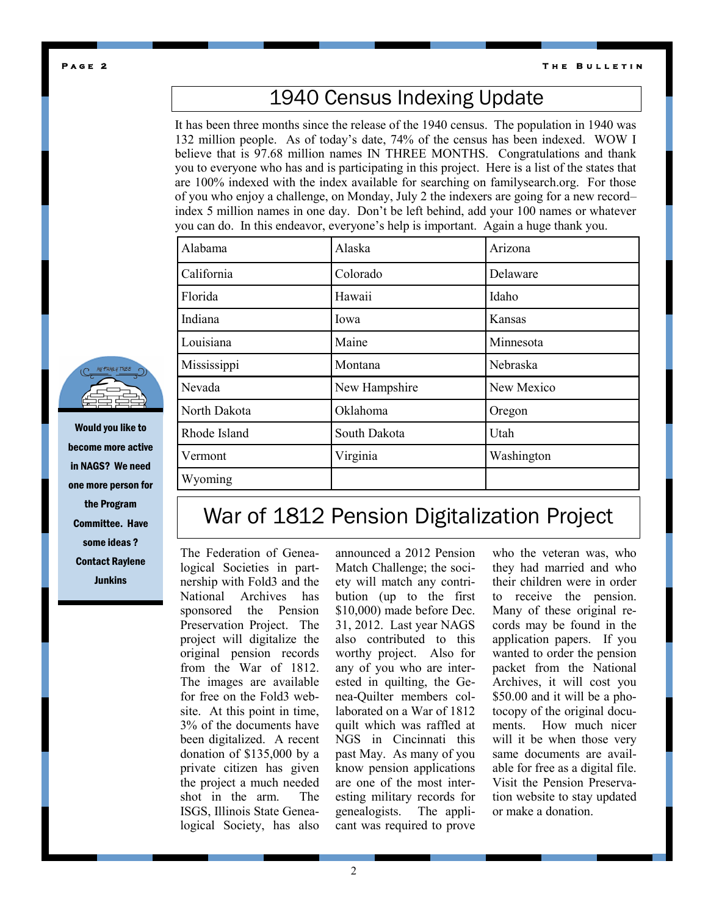**P a g e 2** 

**T h e B u l l e t i n** 

# 1940 Census Indexing Update

It has been three months since the release of the 1940 census. The population in 1940 was 132 million people. As of today's date, 74% of the census has been indexed. WOW I believe that is 97.68 million names IN THREE MONTHS. Congratulations and thank you to everyone who has and is participating in this project. Here is a list of the states that are 100% indexed with the index available for searching on familysearch.org. For those of you who enjoy a challenge, on Monday, July 2 the indexers are going for a new record– index 5 million names in one day. Don't be left behind, add your 100 names or whatever you can do. In this endeavor, everyone's help is important. Again a huge thank you.

| Alabama      | Alaska        | Arizona    |
|--------------|---------------|------------|
| California   | Colorado      | Delaware   |
| Florida      | Hawaii        | Idaho      |
| Indiana      | Iowa          | Kansas     |
| Louisiana    | Maine         | Minnesota  |
| Mississippi  | Montana       | Nebraska   |
| Nevada       | New Hampshire | New Mexico |
| North Dakota | Oklahoma      | Oregon     |
| Rhode Island | South Dakota  | Utah       |
| Vermont      | Virginia      | Washington |
| Wyoming      |               |            |

## War of 1812 Pension Digitalization Project

The Federation of Genealogical Societies in partnership with Fold3 and the National Archives has sponsored the Pension Preservation Project. The project will digitalize the original pension records from the War of 1812. The images are available for free on the Fold3 website. At this point in time, 3% of the documents have been digitalized. A recent donation of \$135,000 by a private citizen has given the project a much needed shot in the arm. The ISGS, Illinois State Genealogical Society, has also announced a 2012 Pension Match Challenge; the society will match any contribution (up to the first \$10,000) made before Dec. 31, 2012. Last year NAGS also contributed to this worthy project. Also for any of you who are interested in quilting, the Genea-Quilter members collaborated on a War of 1812 quilt which was raffled at NGS in Cincinnati this past May. As many of you know pension applications are one of the most interesting military records for genealogists. The applicant was required to prove

they had married and who their children were in order to receive the pension. Many of these original records may be found in the application papers. If you wanted to order the pension packet from the National Archives, it will cost you \$50.00 and it will be a photocopy of the original documents. How much nicer will it be when those very same documents are available for free as a digital file. Visit the Pension Preservation website to stay updated or make a donation.

who the veteran was, who



Would you like to become more active in NAGS? We need one more person for the Program Committee. Have some ideas ? Contact Raylene Junkins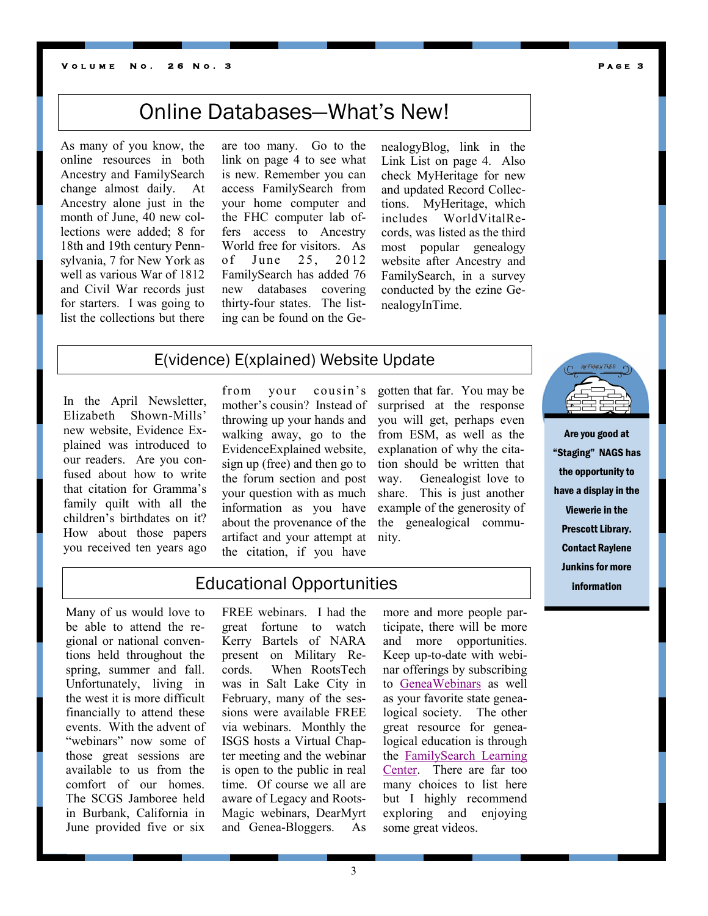### **V o l u m e N o . 2 6 N o . 3 P a g e 3**

As many of you know, the online resources in both Ancestry and FamilySearch change almost daily. At Ancestry alone just in the month of June, 40 new collections were added; 8 for 18th and 19th century Pennsylvania, 7 for New York as well as various War of 1812 and Civil War records just for starters. I was going to list the collections but there

are too many. Go to the link on page 4 to see what is new. Remember you can access FamilySearch from your home computer and the FHC computer lab offers access to Ancestry World free for visitors. As of June 25, 2012 FamilySearch has added 76 new databases covering thirty-four states. The listing can be found on the Ge-

nealogyBlog, link in the Link List on page 4. Also check MyHeritage for new and updated Record Collections. MyHeritage, which includes WorldVitalRecords, was listed as the third most popular genealogy website after Ancestry and FamilySearch, in a survey conducted by the ezine GenealogyInTime.

## E(vidence) E(xplained) Website Update

In the April Newsletter, Elizabeth Shown-Mills' new website, Evidence Explained was introduced to our readers. Are you confused about how to write that citation for Gramma's family quilt with all the children's birthdates on it? How about those papers you received ten years ago

from your cousin's mother's cousin? Instead of throwing up your hands and walking away, go to the EvidenceExplained website, sign up (free) and then go to the forum section and post your question with as much information as you have about the provenance of the artifact and your attempt at the citation, if you have

gotten that far. You may be surprised at the response you will get, perhaps even from ESM, as well as the explanation of why the citation should be written that way. Genealogist love to share. This is just another example of the generosity of the genealogical community.



Are you good at "Staging" NAGS has the opportunity to have a display in the Viewerie in the Prescott Library. Contact Raylene Junkins for more information

Educational Opportunities

Many of us would love to be able to attend the regional or national conventions held throughout the spring, summer and fall. Unfortunately, living in the west it is more difficult financially to attend these events. With the advent of "webinars" now some of those great sessions are available to us from the comfort of our homes. The SCGS Jamboree held in Burbank, California in June provided five or six

FREE webinars. I had the great fortune to watch Kerry Bartels of NARA present on Military Records. When RootsTech was in Salt Lake City in February, many of the sessions were available FREE via webinars. Monthly the ISGS hosts a Virtual Chapter meeting and the webinar is open to the public in real time. Of course we all are aware of Legacy and Roots-Magic webinars, DearMyrt and Genea-Bloggers. As

more and more people participate, there will be more and more opportunities. Keep up-to-date with webinar offerings by subscribing to [GeneaWebinars](http://blog.geneawebinars.com/) as well as your favorite state genealogical society. The other great resource for genealogical education is through the [FamilySearch Learning](https://familysearch.org/learningcenter/home.html)  [Center.](https://familysearch.org/learningcenter/home.html) There are far too many choices to list here but I highly recommend exploring and enjoying some great videos.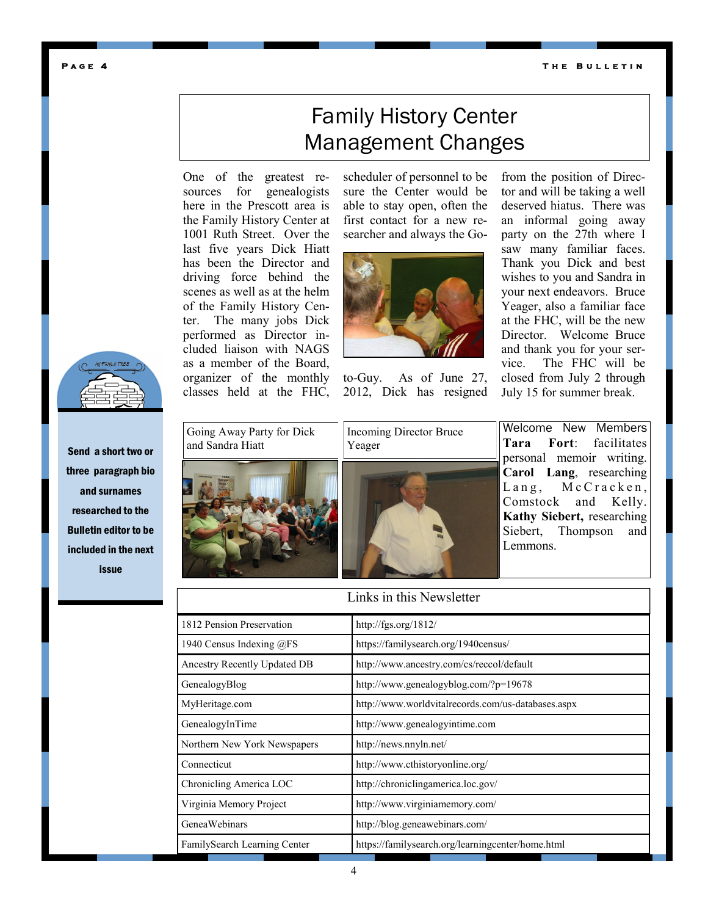**T h e B u l l e t i n** 

### **P a g e 4**



Send a short two or three paragraph bio and surnames researched to the Bulletin editor to be included in the next issue

# Family History Center Management Changes

One of the greatest resources for genealogists here in the Prescott area is the Family History Center at 1001 Ruth Street. Over the last five years Dick Hiatt has been the Director and driving force behind the scenes as well as at the helm of the Family History Center. The many jobs Dick performed as Director included liaison with NAGS as a member of the Board, organizer of the monthly classes held at the FHC,

scheduler of personnel to be sure the Center would be able to stay open, often the first contact for a new researcher and always the Go-



to-Guy. As of June 27, 2012, Dick has resigned from the position of Director and will be taking a well deserved hiatus. There was an informal going away party on the 27th where I saw many familiar faces. Thank you Dick and best wishes to you and Sandra in your next endeavors. Bruce Yeager, also a familiar face at the FHC, will be the new Director. Welcome Bruce and thank you for your service. The FHC will be closed from July 2 through July 15 for summer break.





Welcome New Members **Tara Fort**: facilitates personal memoir writing. **Carol Lang**, researching  $Lang,$   $McCracken,$ Comstock and Kelly. **Kathy Siebert,** researching Siebert, Thompson and Lemmons.

## 1812 Pension Preservation http://fgs.org/1812/ 1940 Census Indexing @FS https://familysearch.org/1940census/ Ancestry Recently Updated DB http://www.ancestry.com/cs/reccol/default GenealogyBlog http://www.genealogyblog.com/?p=19678 MyHeritage.com http://www.worldvitalrecords.com/us-databases.aspx GenealogyInTime http://www.genealogyintime.com Northern New York Newspapers http://news.nnyln.net/ Connecticut http://www.cthistoryonline.org/ Chronicling America LOC http://chroniclingamerica.loc.gov/ Virginia Memory Project http://www.virginiamemory.com/ GeneaWebinars http://blog.geneawebinars.com/ FamilySearch Learning Center https://familysearch.org/learningcenter/home.html Links in this Newsletter

4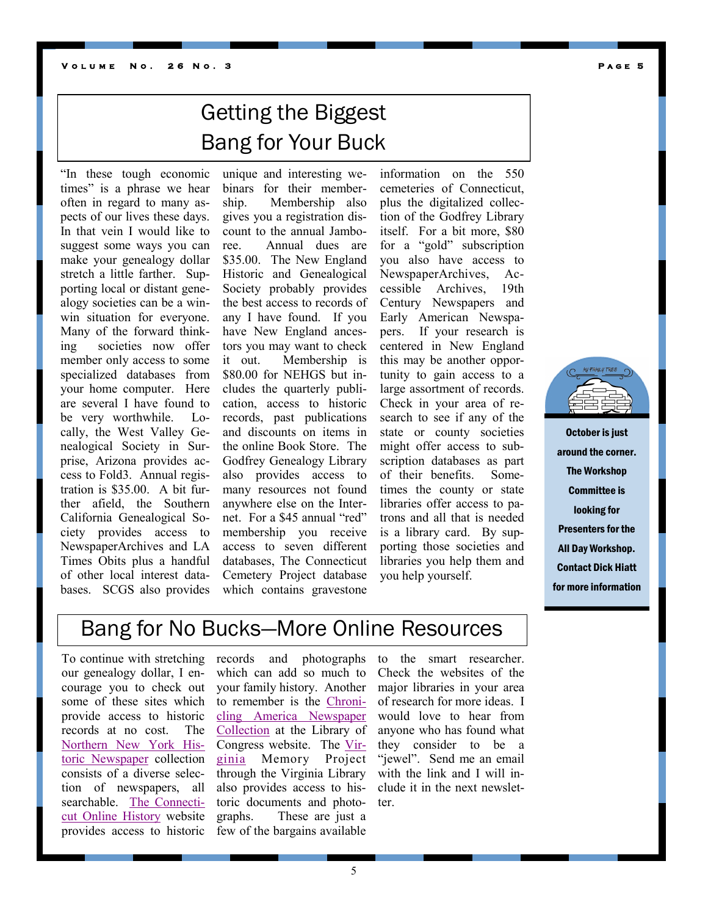# Getting the Biggest Bang for Your Buck

"In these tough economic times" is a phrase we hear often in regard to many aspects of our lives these days. In that vein I would like to suggest some ways you can make your genealogy dollar stretch a little farther. Supporting local or distant genealogy societies can be a winwin situation for everyone. Many of the forward thinking societies now offer member only access to some specialized databases from your home computer. Here are several I have found to be very worthwhile. Locally, the West Valley Genealogical Society in Surprise, Arizona provides access to Fold3. Annual registration is \$35.00. A bit further afield, the Southern California Genealogical Society provides access to NewspaperArchives and LA Times Obits plus a handful of other local interest databases. SCGS also provides

unique and interesting webinars for their membership. Membership also gives you a registration discount to the annual Jamboree. Annual dues are \$35.00. The New England Historic and Genealogical Society probably provides the best access to records of any I have found. If you have New England ancestors you may want to check it out. Membership is \$80.00 for NEHGS but includes the quarterly publication, access to historic records, past publications and discounts on items in the online Book Store. The Godfrey Genealogy Library also provides access to many resources not found anywhere else on the Internet. For a \$45 annual "red" membership you receive access to seven different databases, The Connecticut Cemetery Project database which contains gravestone

information on the 550 cemeteries of Connecticut, plus the digitalized collection of the Godfrey Library itself. For a bit more, \$80 for a "gold" subscription you also have access to NewspaperArchives, Accessible Archives, 19th Century Newspapers and Early American Newspapers. If your research is centered in New England this may be another opportunity to gain access to a large assortment of records. Check in your area of research to see if any of the state or county societies might offer access to subscription databases as part of their benefits. Sometimes the county or state libraries offer access to patrons and all that is needed is a library card. By supporting those societies and libraries you help them and you help yourself.



October is just around the corner. The Workshop Committee is looking for Presenters for the All Day Workshop. Contact Dick Hiatt for more information

## Bang for No Bucks—More Online Resources

To continue with stretching our genealogy dollar, I encourage you to check out some of these sites which provide access to historic records at no cost. The [Northern New York His](http://news.nnyln.net)[toric Newspaper](http://news.nnyln.net) collection consists of a diverse selection of newspapers, all searchable. [The Connecti](http://www.cthistoryonline.org/)[cut Online History](http://www.cthistoryonline.org/) website provides access to historic

records and photographs which can add so much to your family history. Another to remember is the [Chroni](http://chroniclingamerica.loc.gov/)[cling America Newspaper](http://chroniclingamerica.loc.gov/)  [Collection](http://chroniclingamerica.loc.gov/) at the Library of Congress website. The [Vir](http://www.virginiamemory.com/)[ginia](http://www.virginiamemory.com/) Memory Project through the Virginia Library also provides access to historic documents and photographs. These are just a few of the bargains available to the smart researcher. Check the websites of the major libraries in your area of research for more ideas. I would love to hear from anyone who has found what they consider to be a "jewel". Send me an email with the link and I will include it in the next newsletter.